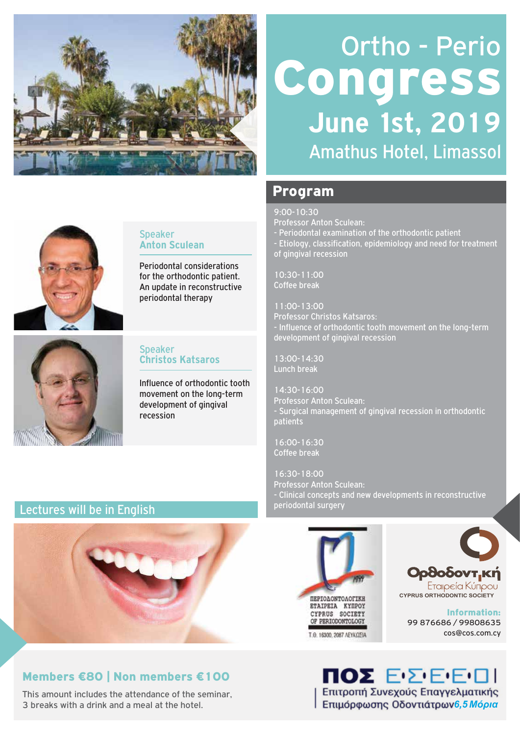

# Ortho - Perio Congress Amathus Hotel, Limassol **June 1st, 2019**

## Program

9:00-10:30

Professor Anton Sculean:

- Periodontal examination of the orthodontic patient
- Etiology, classification, epidemiology and need for treatment of gingival recession

10:30-11:00 Coffee break

11:00-13:00 Professor Christos Katsaros: Influence of orthodontic tooth movement on the long-term development of gingival recession

13:00-14:30 Lunch break

14:30-16:00 Professor Anton Sculean: Surgical management of gingival recession in orthodontic patients

16:00-16:30 Coffee break

16:30-18:00 Professor Anton Sculean: - Clinical concepts and new developments in reconstructive periodontal surgery





Information: 99 876686 / 99808635 cos@cos.com.cy



### Speaker **Anton Sculean**

Periodontal considerations for the orthodontic patient. An update in reconstructive periodontal therapy



### Speaker **Christos Katsaros**

Influence of orthodontic tooth movement on the long-term development of gingival recession

## Lectures will be in English



## Members €80 | Non members €100

This amount includes the attendance of the seminar, 3 breaks with a drink and a meal at the hotel.

**ΠΟΣ** ΕΣΕΕΠΙ Επιτροπή Συνεχούς Επαγγελματικής *6,5 Μόρια*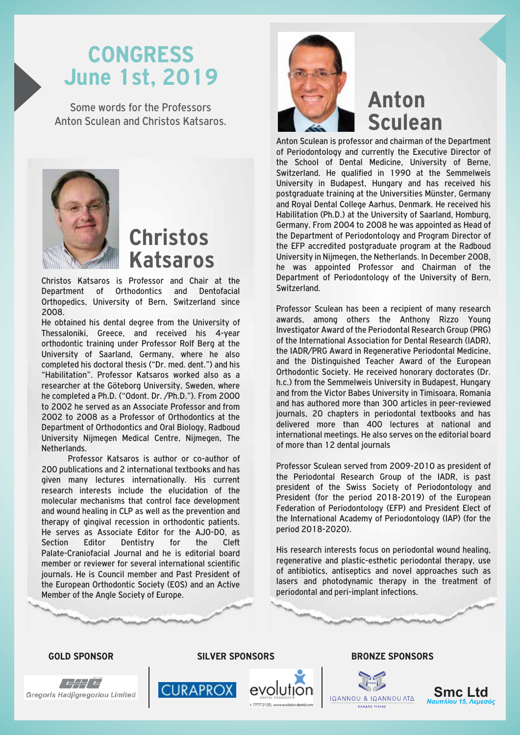## **CONGRESS June 1st, 2019**

Some words for the Professors Anton Sculean and Christos Katsaros.



**Christos Katsaros**

Christos Katsaros is Professor and Chair at the Department of Orthodontics and Dentofacial Orthopedics, University of Bern, Switzerland since 2008.

He obtained his dental degree from the University of Thessaloniki, Greece, and received his 4-year orthodontic training under Professor Rolf Berg at the University of Saarland, Germany, where he also completed his doctoral thesis ("Dr. med. dent.") and his "Habilitation". Professor Katsaros worked also as a researcher at the Göteborg University, Sweden, where he completed a Ph.D. ("Odont. Dr. /Ph.D."). From 2000 to 2002 he served as an Associate Professor and from 2002 to 2008 as a Professor of Orthodontics at the Department of Orthodontics and Oral Biology, Radboud University Nijmegen Medical Centre, Nijmegen, The Netherlands.

 Professor Katsaros is author or co-author of 200 publications and 2 international textbooks and has given many lectures internationally. His current research interests include the elucidation of the molecular mechanisms that control face development and wound healing in CLP as well as the prevention and therapy of gingival recession in orthodontic patients. He serves as Associate Editor for the AJO-DO, as Section Editor Dentistry for the Cleft Palate-Craniofacial Journal and he is editorial board member or reviewer for several international scientific journals. He is Council member and Past President of the European Orthodontic Society (EOS) and an Active Member of the Angle Society of Europe.



## **Anton Sculean**

Anton Sculean is professor and chairman of the Department of Periodontology and currently the Executive Director of the School of Dental Medicine, University of Berne, Switzerland. He qualified in 1990 at the Semmelweis University in Budapest, Hungary and has received his postgraduate training at the Universities Münster, Germany and Royal Dental College Aarhus, Denmark. He received his Habilitation (Ph.D.) at the University of Saarland, Homburg, Germany. From 2004 to 2008 he was appointed as Head of the Department of Periodontology and Program Director of the EFP accredited postgraduate program at the Radboud University in Nijmegen, the Netherlands. In December 2008, he was appointed Professor and Chairman of the Department of Periodontology of the University of Bern, Switzerland.

Professor Sculean has been a recipient of many research awards, among others the Anthony Rizzo Young Investigator Award of the Periodontal Research Group (PRG) of the International Association for Dental Research (IADR), the IADR/PRG Award in Regenerative Periodontal Medicine, and the Distinguished Teacher Award of the European Orthodontic Society. He received honorary doctorates (Dr. h.c.) from the Semmelweis University in Budapest, Hungary and from the Victor Babes University in Timisoara, Romania and has authored more than 300 articles in peer-reviewed journals, 20 chapters in periodontal textbooks and has delivered more than 400 lectures at national and international meetings. He also serves on the editorial board of more than 12 dental journals

Professor Sculean served from 2009-2010 as president of the Periodontal Research Group of the IADR, is past president of the Swiss Society of Periodontology and President (for the period 2018-2019) of the European Federation of Periodontology (EFP) and President Elect of the International Academy of Periodontology (IAP) (for the period 2018-2020).

His research interests focus on periodontal wound healing, regenerative and plastic-esthetic periodontal therapy, use of antibiotics, antiseptics and novel approaches such as lasers and photodynamic therapy in the treatment of periodontal and peri-implant infections.



**CURAPROX** 



#### **GOLD SPONSOR SILVER SPONSORS BRONZE SPONSORS**